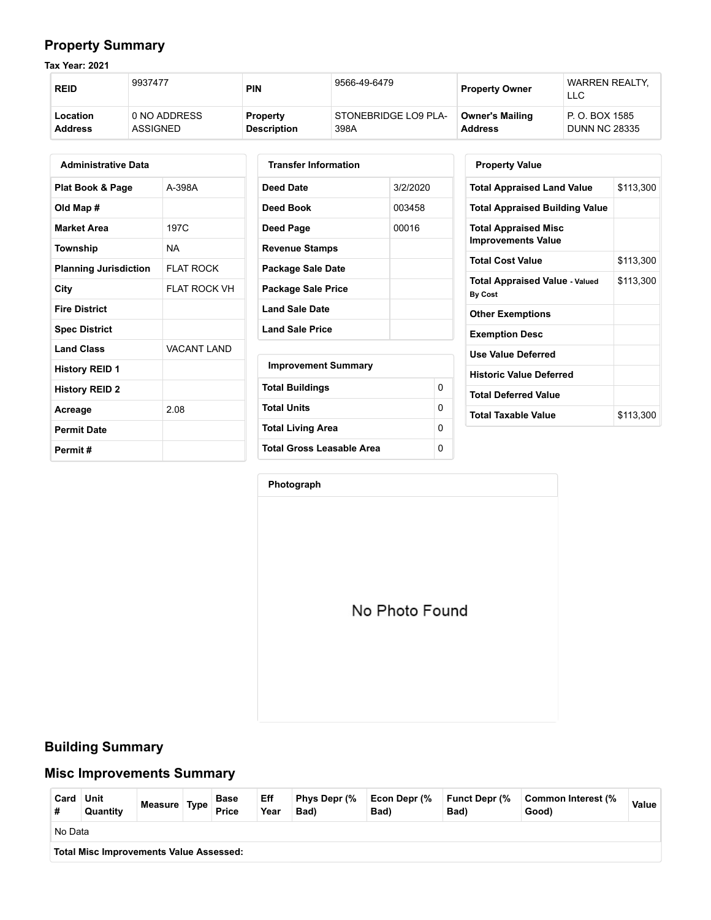### **Property Summary**

**Tax Year: 2021**

| <b>REID</b>    | 9937477      | <b>PIN</b>         | 9566-49-6479<br><b>Property Owner</b> |                        | <b>WARREN REALTY.</b><br>LLC |  |
|----------------|--------------|--------------------|---------------------------------------|------------------------|------------------------------|--|
| Location       | 0 NO ADDRESS | <b>Property</b>    | STONEBRIDGE LO9 PLA-                  | <b>Owner's Mailing</b> | P. O. BOX 1585               |  |
| <b>Address</b> | ASSIGNED     | <b>Description</b> | 398A                                  | <b>Address</b>         | <b>DUNN NC 28335</b>         |  |

| <b>Administrative Data</b>   |                    |  |  |  |  |  |
|------------------------------|--------------------|--|--|--|--|--|
| Plat Book & Page             | A-398A             |  |  |  |  |  |
| Old Map #                    |                    |  |  |  |  |  |
| <b>Market Area</b>           | 197C               |  |  |  |  |  |
| Township                     | NΑ                 |  |  |  |  |  |
| <b>Planning Jurisdiction</b> | FI AT ROCK         |  |  |  |  |  |
| City                         | FI AT ROCK VH      |  |  |  |  |  |
| <b>Fire District</b>         |                    |  |  |  |  |  |
| <b>Spec District</b>         |                    |  |  |  |  |  |
| <b>Land Class</b>            | <b>VACANT LAND</b> |  |  |  |  |  |
| <b>History REID 1</b>        |                    |  |  |  |  |  |
| <b>History REID 2</b>        |                    |  |  |  |  |  |
| Acreage                      | 2.08               |  |  |  |  |  |
| <b>Permit Date</b>           |                    |  |  |  |  |  |
| Permit #                     |                    |  |  |  |  |  |

| <b>Transfer Information</b> |          |          |
|-----------------------------|----------|----------|
| Deed Date                   | 3/2/2020 |          |
| Deed Book                   | 003458   |          |
| Deed Page                   | 00016    |          |
| Revenue Stamps              |          |          |
| Package Sale Date           |          |          |
| Package Sale Price          |          |          |
| <b>Land Sale Date</b>       |          |          |
| <b>Land Sale Price</b>      |          |          |
| <b>Improvement Summary</b>  |          |          |
| <b>Total Buildings</b>      |          | $\Omega$ |
| <b>Total Units</b>          |          | 0        |
| Total Living Area           |          | 0        |
| Total Gross Leasable Area   |          | 0        |

| <b>Property Value</b>                                    |           |  |  |  |  |
|----------------------------------------------------------|-----------|--|--|--|--|
| <b>Total Appraised Land Value</b>                        | \$113,300 |  |  |  |  |
| <b>Total Appraised Building Value</b>                    |           |  |  |  |  |
| <b>Total Appraised Misc</b><br><b>Improvements Value</b> |           |  |  |  |  |
| <b>Total Cost Value</b>                                  | \$113,300 |  |  |  |  |
| <b>Total Appraised Value - Valued</b><br><b>By Cost</b>  | \$113,300 |  |  |  |  |
| <b>Other Exemptions</b>                                  |           |  |  |  |  |
| <b>Exemption Desc</b>                                    |           |  |  |  |  |
| Use Value Deferred                                       |           |  |  |  |  |
| <b>Historic Value Deferred</b>                           |           |  |  |  |  |
| <b>Total Deferred Value</b>                              |           |  |  |  |  |
| <b>Total Taxable Value</b>                               | \$113,300 |  |  |  |  |

**Photograph**

No Photo Found

#### **Building Summary**

#### **Misc Improvements Summary**

| Card    | Unit<br>Quantity                               | Measure Type |  | <b>Base</b><br><b>Price</b> | Eff<br>Year | Phys Depr (%<br>Bad) | Econ Depr (%<br>Bad) | <b>Funct Depr (%</b><br>Bad) | Common Interest (%<br>Good) | Value |
|---------|------------------------------------------------|--------------|--|-----------------------------|-------------|----------------------|----------------------|------------------------------|-----------------------------|-------|
| No Data |                                                |              |  |                             |             |                      |                      |                              |                             |       |
|         | <b>Total Misc Improvements Value Assessed:</b> |              |  |                             |             |                      |                      |                              |                             |       |